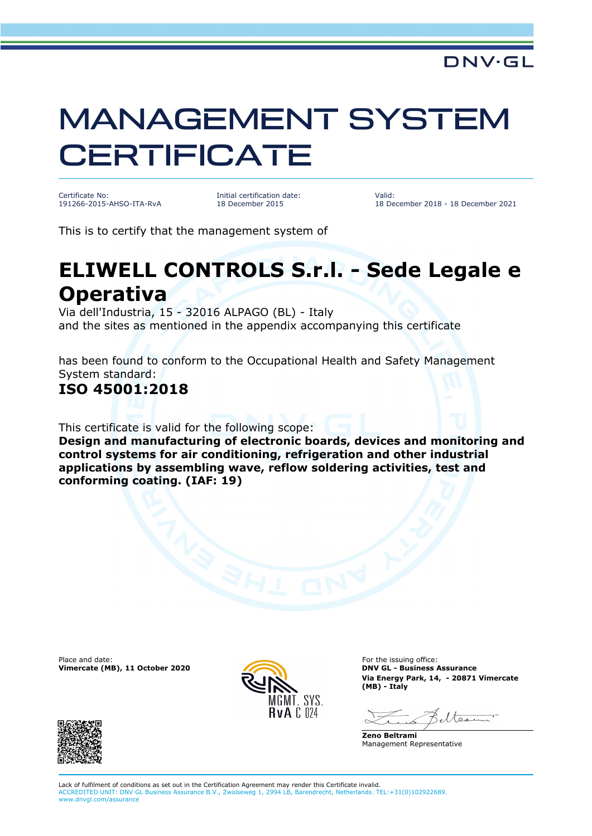# MANAGEMENT SYSTEM **CERTIFICATE**

Certificate No: 191266-2015-AHSO-ITA-RvA Initial certification date: 18 December 2015

Valid: 18 December 2018 - 18 December 2021

This is to certify that the management system of

## **ELIWELL CONTROLS S.r.l. - Sede Legale e Operativa**

Via dell'Industria, 15 - 32016 ALPAGO (BL) - Italy and the sites as mentioned in the appendix accompanying this certificate

has been found to conform to the Occupational Health and Safety Management System standard:

#### **ISO 45001:2018**

This certificate is valid for the following scope:

**Design and manufacturing of electronic boards, devices and monitoring and control systems for air conditioning, refrigeration and other industrial applications by assembling wave, reflow soldering activities, test and conforming coating. (IAF: 19)**

Place and date: For the issuing office:<br> **Place and date:** For the issuing office:<br> **Phace and date:** For the issuing office:<br> **Phace and date:** For the issuing office: **Vimercate (MB), 11 October 2020** 



**Via Energy Park, 14, - 20871 Vimercate (MB) - Italy**

**Zeno Beltrami** Management Representative



Lack of fulfilment of conditions as set out in the Certification Agreement may render this Certificate invalid. ACCREDITED UNIT: DNV GL Business Assurance B.V., Zwolseweg 1, 2994 LB, Barendrecht, Netherlands. TEL:+31(0)102922689. www.dnvgl.com/assurance